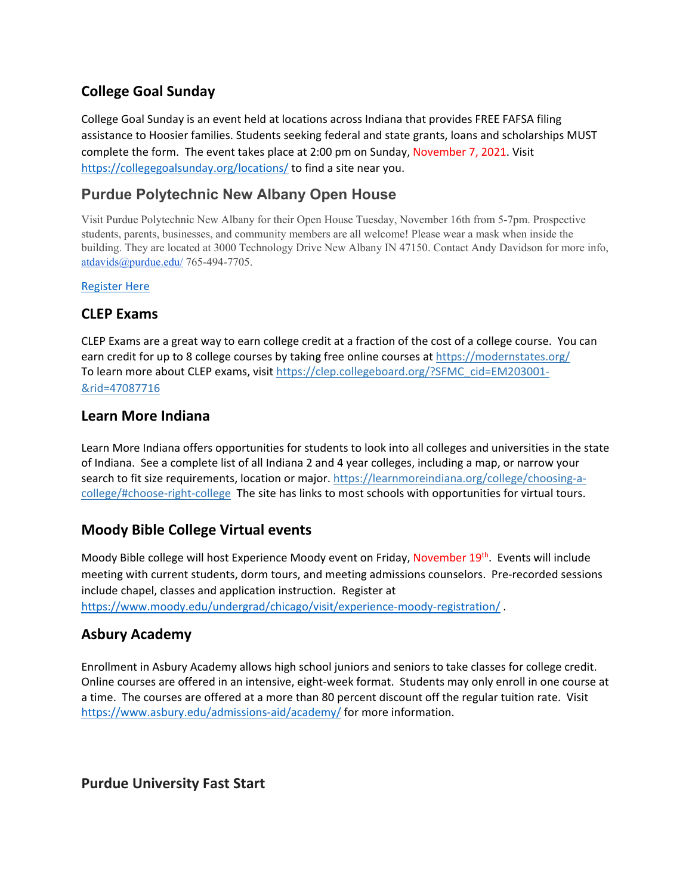# **College Goal Sunday**

College Goal Sunday is an event held at locations across Indiana that provides FREE FAFSA filing assistance to Hoosier families. Students seeking federal and state grants, loans and scholarships MUST complete the form. The event takes place at 2:00 pm on Sunday, November 7, 2021. Visit <https://collegegoalsunday.org/locations/> to find a site near you.

# **Purdue Polytechnic New Albany Open House**

Visit Purdue Polytechnic New Albany for their Open House Tuesday, November 16th from 5-7pm. Prospective students, parents, businesses, and community members are all welcome! Please wear a mask when inside the building. They are located at 3000 Technology Drive New Albany IN 47150. Contact Andy Davidson for more info, [atdavids@purdue.edu/](http://atdavids@purdue.edu/) 765-494-7705.

#### [Register Here](https://docs.google.com/forms/d/e/1FAIpQLSddWP4oNZZYWBxURpIEFaenF_Rw9yzS1EZTZbKUJn5aY95KGw/viewform?vc=0&c=0&w=1&flr=0)

### **CLEP Exams**

CLEP Exams are a great way to earn college credit at a fraction of the cost of a college course. You can earn credit for up to 8 college courses by taking free online courses at<https://modernstates.org/> To learn more about CLEP exams, visit [https://clep.collegeboard.org/?SFMC\\_cid=EM203001-](https://clep.collegeboard.org/?SFMC_cid=EM203001-&rid=47087716) [&rid=47087716](https://clep.collegeboard.org/?SFMC_cid=EM203001-&rid=47087716)

### **Learn More Indiana**

Learn More Indiana offers opportunities for students to look into all colleges and universities in the state of Indiana. See a complete list of all Indiana 2 and 4 year colleges, including a map, or narrow your search to fit size requirements, location or major. [https://learnmoreindiana.org/college/choosing-a](https://learnmoreindiana.org/college/choosing-a-college/#choose-right-college)[college/#choose-right-college](https://learnmoreindiana.org/college/choosing-a-college/#choose-right-college) The site has links to most schools with opportunities for virtual tours.

# **Moody Bible College Virtual events**

Moody Bible college will host Experience Moody event on Friday, November 19<sup>th</sup>. Events will include meeting with current students, dorm tours, and meeting admissions counselors. Pre-recorded sessions include chapel, classes and application instruction. Register at <https://www.moody.edu/undergrad/chicago/visit/experience-moody-registration/> .

# **Asbury Academy**

Enrollment in Asbury Academy allows high school juniors and seniors to take classes for college credit. Online courses are offered in an intensive, eight-week format. Students may only enroll in one course at a time. The courses are offered at a more than 80 percent discount off the regular tuition rate. Visit <https://www.asbury.edu/admissions-aid/academy/> for more information.

**Purdue University Fast Start**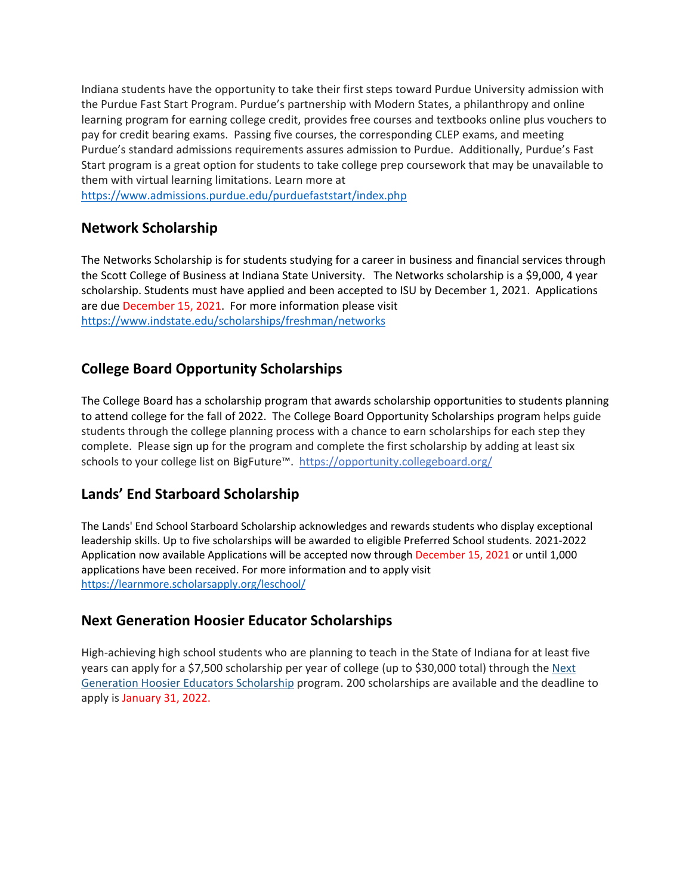Indiana students have the opportunity to take their first steps toward Purdue University admission with the Purdue Fast Start Program. Purdue's partnership with Modern States, a philanthropy and online learning program for earning college credit, provides free courses and textbooks online plus vouchers to pay for credit bearing exams. Passing five courses, the corresponding CLEP exams, and meeting Purdue's standard admissions requirements assures admission to Purdue. Additionally, Purdue's Fast Start program is a great option for students to take college prep coursework that may be unavailable to them with virtual learning limitations. Learn more at

<https://www.admissions.purdue.edu/purduefaststart/index.php>

### **Network Scholarship**

The Networks Scholarship is for students studying for a career in business and financial services through the Scott College of Business at Indiana State University. The Networks scholarship is a \$9,000, 4 year scholarship. Students must have applied and been accepted to ISU by December 1, 2021. Applications are due December 15, 2021. For more information please visit <https://www.indstate.edu/scholarships/freshman/networks>

# **College Board Opportunity Scholarships**

The College Board has a scholarship program that awards scholarship opportunities to students planning to attend college for the fall of 2022. The College Board Opportunity Scholarships program helps guide students through the college planning process with a chance to earn scholarships for each step they complete. Please [sign up](https://link.zixcentral.com/u/1d84fe9c/rvreEuXF6hGEjZXUhnsoMg?u=https%3A%2F%2Fclick.e.collegeboard.org%2F%3Fqs%3D58e805d0d19de2efd55a925b92b6ebf4ad0079ceabd60f6ad6c270ee2b2dc3c9aa265be4ea23b38def9e50d874ee3b7d227ed8b6e09dce45) for the program and complete the first scholarship by adding at least six schools to your college list on BigFuture™. [https://opportunity.collegeboard.org/](https://opportunity.collegeboard.org/about/build?SFMC_cid=EM337463-&rid=47087716)

# **Lands' End Starboard Scholarship**

The Lands' End School Starboard Scholarship acknowledges and rewards students who display exceptional leadership skills. Up to five scholarships will be awarded to eligible Preferred School students. 2021-2022 Application now available Applications will be accepted now through December 15, 2021 or until 1,000 applications have been received. For more information and to apply visit <https://learnmore.scholarsapply.org/leschool/>

# **Next Generation Hoosier Educator Scholarships**

High-achieving high school students who are planning to teach in the State of Indiana for at least five years can apply for a \$7,500 scholarship per year of college (up to \$30,000 total) through the Next [Generation Hoosier Educators Scholarship](https://lnks.gd/l/eyJhbGciOiJIUzI1NiJ9.eyJidWxsZXRpbl9saW5rX2lkIjoxMDAsInVyaSI6ImJwMjpjbGljayIsImJ1bGxldGluX2lkIjoiMjAyMTEwMDUuNDY5MTI4NzEiLCJ1cmwiOiJodHRwczovL3d3dy5pbi5nb3YvY2hlLzQ2ODAuaHRtIn0.wmLf5vwZneKJQk971u20Mi6xtHYA-P8Z2mpZ_0zE8kk/s/684269653/br/113382717341-l) program. 200 scholarships are available and the deadline to apply is January 31, 2022.